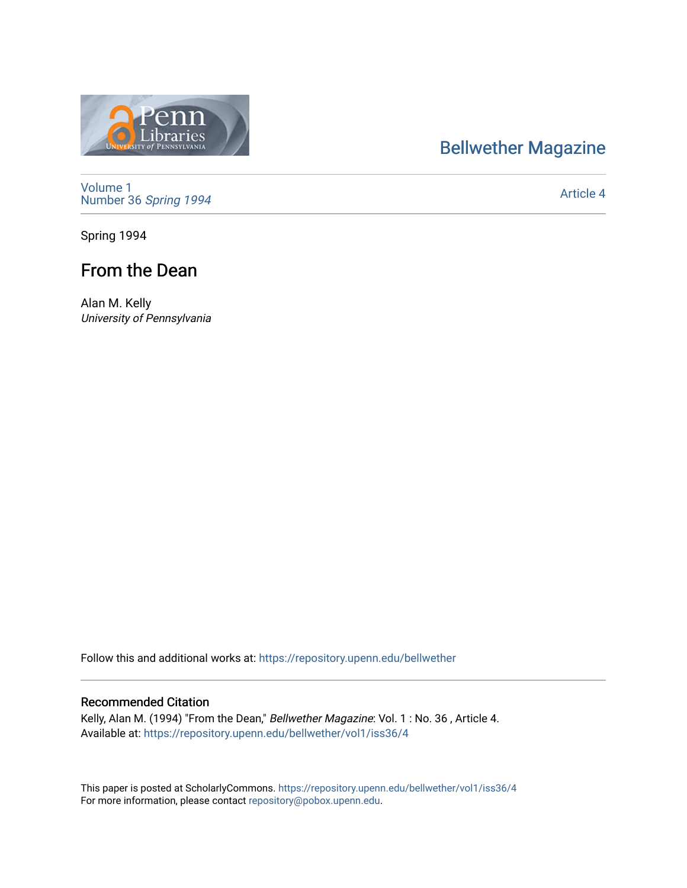# [Bellwether Magazine](https://repository.upenn.edu/bellwether)



[Volume 1](https://repository.upenn.edu/bellwether/vol1) [Number 36](https://repository.upenn.edu/bellwether/vol1/iss36) Spring 1994

[Article 4](https://repository.upenn.edu/bellwether/vol1/iss36/4) 

Spring 1994

## From the Dean

Alan M. Kelly University of Pennsylvania

Follow this and additional works at: [https://repository.upenn.edu/bellwether](https://repository.upenn.edu/bellwether?utm_source=repository.upenn.edu%2Fbellwether%2Fvol1%2Fiss36%2F4&utm_medium=PDF&utm_campaign=PDFCoverPages) 

#### Recommended Citation

Kelly, Alan M. (1994) "From the Dean," Bellwether Magazine: Vol. 1 : No. 36 , Article 4. Available at: [https://repository.upenn.edu/bellwether/vol1/iss36/4](https://repository.upenn.edu/bellwether/vol1/iss36/4?utm_source=repository.upenn.edu%2Fbellwether%2Fvol1%2Fiss36%2F4&utm_medium=PDF&utm_campaign=PDFCoverPages)

This paper is posted at ScholarlyCommons.<https://repository.upenn.edu/bellwether/vol1/iss36/4> For more information, please contact [repository@pobox.upenn.edu.](mailto:repository@pobox.upenn.edu)